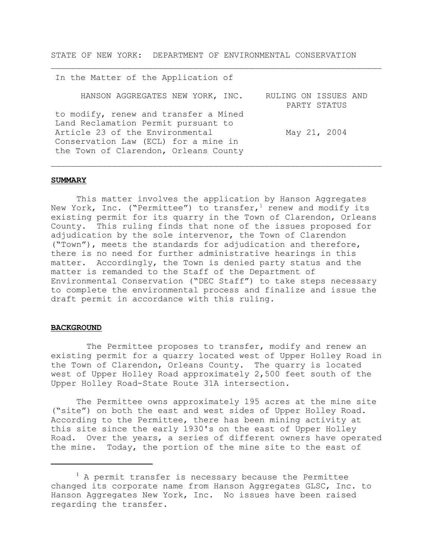STATE OF NEW YORK: DEPARTMENT OF ENVIRONMENTAL CONSERVATION

| In the Matter of the Application of                                                                                                                                                              |                                      |
|--------------------------------------------------------------------------------------------------------------------------------------------------------------------------------------------------|--------------------------------------|
| HANSON AGGREGATES NEW YORK, INC.                                                                                                                                                                 | RULING ON ISSUES AND<br>PARTY STATUS |
| to modify, renew and transfer a Mined<br>Land Reclamation Permit pursuant to<br>Article 23 of the Environmental<br>Conservation Law (ECL) for a mine in<br>the Town of Clarendon, Orleans County | May 21, 2004                         |

 $\_$  , and the set of the set of the set of the set of the set of the set of the set of the set of the set of the set of the set of the set of the set of the set of the set of the set of the set of the set of the set of th

 $\_$  , and the set of the set of the set of the set of the set of the set of the set of the set of the set of the set of the set of the set of the set of the set of the set of the set of the set of the set of the set of th

#### **SUMMARY**

This matter involves the application by Hanson Aggregates New York, Inc. ("Permittee") to transfer,<sup>1</sup> renew and modify its existing permit for its quarry in the Town of Clarendon, Orleans County. This ruling finds that none of the issues proposed for adjudication by the sole intervenor, the Town of Clarendon ("Town"), meets the standards for adjudication and therefore, there is no need for further administrative hearings in this matter. Accordingly, the Town is denied party status and the matter is remanded to the Staff of the Department of Environmental Conservation ("DEC Staff") to take steps necessary to complete the environmental process and finalize and issue the draft permit in accordance with this ruling.

#### **BACKGROUND**

The Permittee proposes to transfer, modify and renew an existing permit for a quarry located west of Upper Holley Road in the Town of Clarendon, Orleans County. The quarry is located west of Upper Holley Road approximately 2,500 feet south of the Upper Holley Road-State Route 31A intersection.

The Permittee owns approximately 195 acres at the mine site ("site") on both the east and west sides of Upper Holley Road. According to the Permittee, there has been mining activity at this site since the early 1930's on the east of Upper Holley Road. Over the years, a series of different owners have operated the mine. Today, the portion of the mine site to the east of

<sup>&</sup>lt;sup>1</sup> A permit transfer is necessary because the Permittee changed its corporate name from Hanson Aggregates GLSC, Inc. to Hanson Aggregates New York, Inc. No issues have been raised regarding the transfer.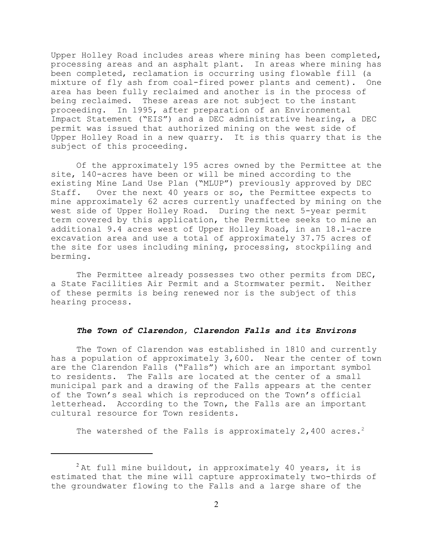Upper Holley Road includes areas where mining has been completed, processing areas and an asphalt plant. In areas where mining has been completed, reclamation is occurring using flowable fill (a mixture of fly ash from coal-fired power plants and cement). One area has been fully reclaimed and another is in the process of being reclaimed. These areas are not subject to the instant proceeding. In 1995, after preparation of an Environmental Impact Statement ("EIS") and a DEC administrative hearing, a DEC permit was issued that authorized mining on the west side of Upper Holley Road in a new quarry. It is this quarry that is the subject of this proceeding.

Of the approximately 195 acres owned by the Permittee at the site, 140-acres have been or will be mined according to the existing Mine Land Use Plan ("MLUP") previously approved by DEC Staff. Over the next 40 years or so, the Permittee expects to mine approximately 62 acres currently unaffected by mining on the west side of Upper Holley Road. During the next 5-year permit term covered by this application, the Permittee seeks to mine an additional 9.4 acres west of Upper Holley Road, in an 18.1-acre excavation area and use a total of approximately 37.75 acres of the site for uses including mining, processing, stockpiling and berming.

The Permittee already possesses two other permits from DEC, a State Facilities Air Permit and a Stormwater permit. Neither of these permits is being renewed nor is the subject of this hearing process.

## *The Town of Clarendon, Clarendon Falls and its Environs*

The Town of Clarendon was established in 1810 and currently has a population of approximately 3,600. Near the center of town are the Clarendon Falls ("Falls") which are an important symbol to residents. The Falls are located at the center of a small municipal park and a drawing of the Falls appears at the center of the Town's seal which is reproduced on the Town's official letterhead. According to the Town, the Falls are an important cultural resource for Town residents.

The watershed of the Falls is approximately 2,400 acres.<sup>2</sup>

 $2$ At full mine buildout, in approximately 40 years, it is estimated that the mine will capture approximately two-thirds of the groundwater flowing to the Falls and a large share of the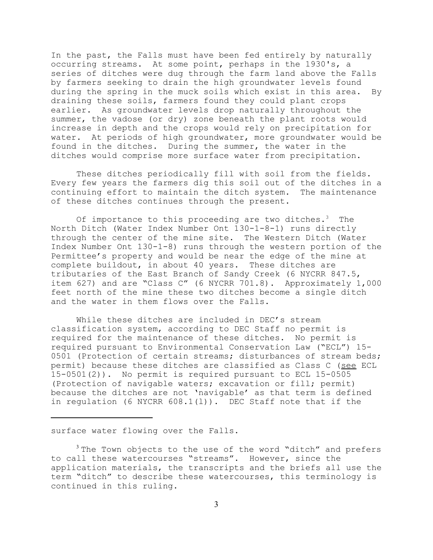In the past, the Falls must have been fed entirely by naturally occurring streams. At some point, perhaps in the 1930's, a series of ditches were dug through the farm land above the Falls by farmers seeking to drain the high groundwater levels found during the spring in the muck soils which exist in this area. By draining these soils, farmers found they could plant crops earlier. As groundwater levels drop naturally throughout the summer, the vadose (or dry) zone beneath the plant roots would increase in depth and the crops would rely on precipitation for water. At periods of high groundwater, more groundwater would be found in the ditches. During the summer, the water in the ditches would comprise more surface water from precipitation.

These ditches periodically fill with soil from the fields. Every few years the farmers dig this soil out of the ditches in a continuing effort to maintain the ditch system. The maintenance of these ditches continues through the present.

Of importance to this proceeding are two ditches.<sup>3</sup> The North Ditch (Water Index Number Ont 130-1-8-1) runs directly through the center of the mine site. The Western Ditch (Water Index Number Ont 130-1-8) runs through the western portion of the Permittee's property and would be near the edge of the mine at complete buildout, in about 40 years. These ditches are tributaries of the East Branch of Sandy Creek (6 NYCRR 847.5, item 627) and are "Class C" (6 NYCRR 701.8). Approximately 1,000 feet north of the mine these two ditches become a single ditch and the water in them flows over the Falls.

While these ditches are included in DEC's stream classification system, according to DEC Staff no permit is required for the maintenance of these ditches. No permit is required pursuant to Environmental Conservation Law ("ECL") 15- 0501 (Protection of certain streams; disturbances of stream beds; permit) because these ditches are classified as Class C (see ECL 15-0501(2)). No permit is required pursuant to ECL 15-0505 (Protection of navigable waters; excavation or fill; permit) because the ditches are not 'navigable' as that term is defined in requlation (6 NYCRR  $608.1(1)$ ). DEC Staff note that if the

surface water flowing over the Falls.

<sup>&</sup>lt;sup>3</sup> The Town objects to the use of the word "ditch" and prefers to call these watercourses "streams". However, since the application materials, the transcripts and the briefs all use the term "ditch" to describe these watercourses, this terminology is continued in this ruling.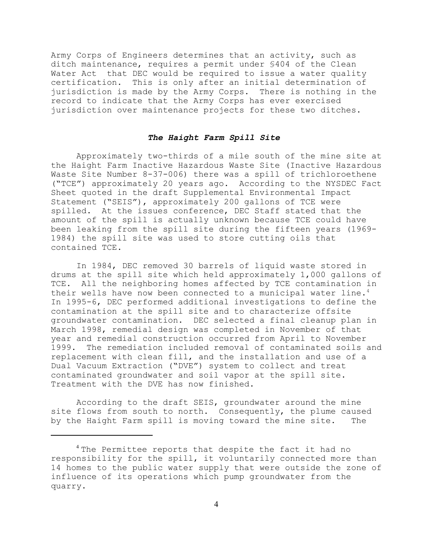Army Corps of Engineers determines that an activity, such as ditch maintenance, requires a permit under §404 of the Clean Water Act that DEC would be required to issue a water quality certification. This is only after an initial determination of jurisdiction is made by the Army Corps. There is nothing in the record to indicate that the Army Corps has ever exercised jurisdiction over maintenance projects for these two ditches.

# *The Haight Farm Spill Site*

Approximately two-thirds of a mile south of the mine site at the Haight Farm Inactive Hazardous Waste Site (Inactive Hazardous Waste Site Number 8-37-006) there was a spill of trichloroethene ("TCE") approximately 20 years ago. According to the NYSDEC Fact Sheet quoted in the draft Supplemental Environmental Impact Statement ("SEIS"), approximately 200 gallons of TCE were spilled. At the issues conference, DEC Staff stated that the amount of the spill is actually unknown because TCE could have been leaking from the spill site during the fifteen years (1969- 1984) the spill site was used to store cutting oils that contained TCE.

In 1984, DEC removed 30 barrels of liquid waste stored in drums at the spill site which held approximately 1,000 gallons of TCE. All the neighboring homes affected by TCE contamination in their wells have now been connected to a municipal water line.<sup>4</sup> In 1995-6, DEC performed additional investigations to define the contamination at the spill site and to characterize offsite groundwater contamination. DEC selected a final cleanup plan in March 1998, remedial design was completed in November of that year and remedial construction occurred from April to November 1999. The remediation included removal of contaminated soils and replacement with clean fill, and the installation and use of a Dual Vacuum Extraction ("DVE") system to collect and treat contaminated groundwater and soil vapor at the spill site. Treatment with the DVE has now finished.

According to the draft SEIS, groundwater around the mine site flows from south to north. Consequently, the plume caused by the Haight Farm spill is moving toward the mine site. The

<sup>&</sup>lt;sup>4</sup> The Permittee reports that despite the fact it had no responsibility for the spill, it voluntarily connected more than 14 homes to the public water supply that were outside the zone of influence of its operations which pump groundwater from the quarry.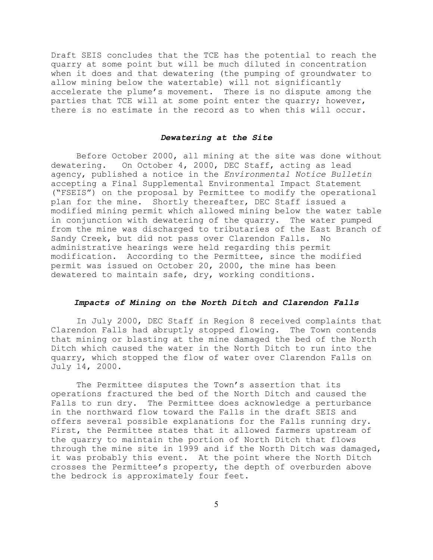Draft SEIS concludes that the TCE has the potential to reach the quarry at some point but will be much diluted in concentration when it does and that dewatering (the pumping of groundwater to allow mining below the watertable) will not significantly accelerate the plume's movement. There is no dispute among the parties that TCE will at some point enter the quarry; however, there is no estimate in the record as to when this will occur.

#### *Dewatering at the Site*

Before October 2000, all mining at the site was done without dewatering. On October 4, 2000, DEC Staff, acting as lead agency, published a notice in the *Environmental Notice Bulletin* accepting a Final Supplemental Environmental Impact Statement ("FSEIS") on the proposal by Permittee to modify the operational plan for the mine. Shortly thereafter, DEC Staff issued a modified mining permit which allowed mining below the water table in conjunction with dewatering of the quarry. The water pumped from the mine was discharged to tributaries of the East Branch of Sandy Creek, but did not pass over Clarendon Falls. No administrative hearings were held regarding this permit modification. According to the Permittee, since the modified permit was issued on October 20, 2000, the mine has been dewatered to maintain safe, dry, working conditions.

### *Impacts of Mining on the North Ditch and Clarendon Falls*

In July 2000, DEC Staff in Region 8 received complaints that Clarendon Falls had abruptly stopped flowing. The Town contends that mining or blasting at the mine damaged the bed of the North Ditch which caused the water in the North Ditch to run into the quarry, which stopped the flow of water over Clarendon Falls on July 14, 2000.

The Permittee disputes the Town's assertion that its operations fractured the bed of the North Ditch and caused the Falls to run dry. The Permittee does acknowledge a perturbance in the northward flow toward the Falls in the draft SEIS and offers several possible explanations for the Falls running dry. First, the Permittee states that it allowed farmers upstream of the quarry to maintain the portion of North Ditch that flows through the mine site in 1999 and if the North Ditch was damaged, it was probably this event. At the point where the North Ditch crosses the Permittee's property, the depth of overburden above the bedrock is approximately four feet.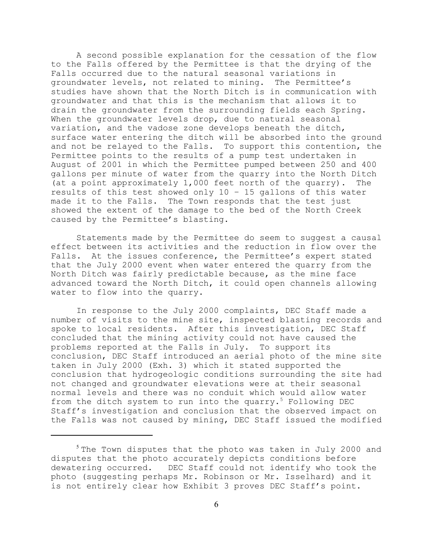A second possible explanation for the cessation of the flow to the Falls offered by the Permittee is that the drying of the Falls occurred due to the natural seasonal variations in groundwater levels, not related to mining. The Permittee's studies have shown that the North Ditch is in communication with groundwater and that this is the mechanism that allows it to drain the groundwater from the surrounding fields each Spring. When the groundwater levels drop, due to natural seasonal variation, and the vadose zone develops beneath the ditch, surface water entering the ditch will be absorbed into the ground and not be relayed to the Falls. To support this contention, the Permittee points to the results of a pump test undertaken in August of 2001 in which the Permittee pumped between 250 and 400 gallons per minute of water from the quarry into the North Ditch (at a point approximately 1,000 feet north of the quarry). The results of this test showed only 10 – 15 gallons of this water made it to the Falls. The Town responds that the test just showed the extent of the damage to the bed of the North Creek caused by the Permittee's blasting.

Statements made by the Permittee do seem to suggest a causal effect between its activities and the reduction in flow over the Falls. At the issues conference, the Permittee's expert stated that the July 2000 event when water entered the quarry from the North Ditch was fairly predictable because, as the mine face advanced toward the North Ditch, it could open channels allowing water to flow into the quarry.

In response to the July 2000 complaints, DEC Staff made a number of visits to the mine site, inspected blasting records and spoke to local residents. After this investigation, DEC Staff concluded that the mining activity could not have caused the problems reported at the Falls in July. To support its conclusion, DEC Staff introduced an aerial photo of the mine site taken in July 2000 (Exh. 3) which it stated supported the conclusion that hydrogeologic conditions surrounding the site had not changed and groundwater elevations were at their seasonal normal levels and there was no conduit which would allow water from the ditch system to run into the quarry.<sup>5</sup> Following DEC Staff's investigation and conclusion that the observed impact on the Falls was not caused by mining, DEC Staff issued the modified

 $5$  The Town disputes that the photo was taken in July 2000 and disputes that the photo accurately depicts conditions before dewatering occurred. DEC Staff could not identify who took the photo (suggesting perhaps Mr. Robinson or Mr. Isselhard) and it is not entirely clear how Exhibit 3 proves DEC Staff's point.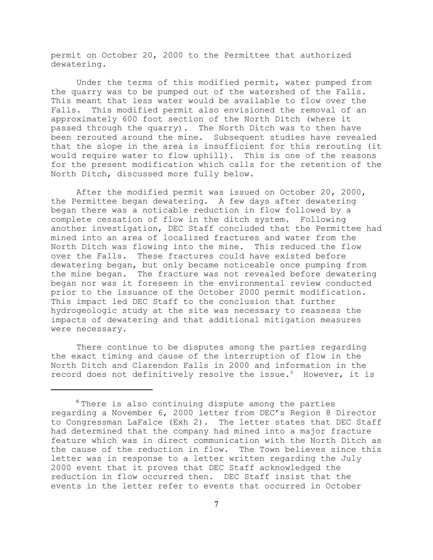permit on October 20, 2000 to the Permittee that authorized dewatering.

Under the terms of this modified permit, water pumped from the quarry was to be pumped out of the watershed of the Falls. This meant that less water would be available to flow over the Falls. This modified permit also envisioned the removal of an approximately 600 foot section of the North Ditch (where it passed through the quarry). The North Ditch was to then have been rerouted around the mine. Subsequent studies have revealed that the slope in the area is insufficient for this rerouting (it would require water to flow uphill). This is one of the reasons for the present modification which calls for the retention of the North Ditch, discussed more fully below.

After the modified permit was issued on October 20, 2000, the Permittee began dewatering. A few days after dewatering began there was a noticable reduction in flow followed by a complete cessation of flow in the ditch system. Following another investigation, DEC Staff concluded that the Permittee had mined into an area of localized fractures and water from the North Ditch was flowing into the mine. This reduced the flow over the Falls. These fractures could have existed before dewatering began, but only became noticeable once pumping from the mine began. The fracture was not revealed before dewatering began nor was it foreseen in the environmental review conducted prior to the issuance of the October 2000 permit modification. This impact led DEC Staff to the conclusion that further hydrogeologic study at the site was necessary to reassess the impacts of dewatering and that additional mitigation measures were necessary.

There continue to be disputes among the parties regarding the exact timing and cause of the interruption of flow in the North Ditch and Clarendon Falls in 2000 and information in the record does not definitively resolve the issue.<sup>6</sup> However, it is

<sup>&</sup>lt;sup>6</sup> There is also continuing dispute among the parties regarding a November 6, 2000 letter from DEC's Region 8 Director to Congressman LaFalce (Exh 2). The letter states that DEC Staff had determined that the company had mined into a major fracture feature which was in direct communication with the North Ditch as the cause of the reduction in flow. The Town believes since this letter was in response to a letter written regarding the July 2000 event that it proves that DEC Staff acknowledged the reduction in flow occurred then. DEC Staff insist that the events in the letter refer to events that occurred in October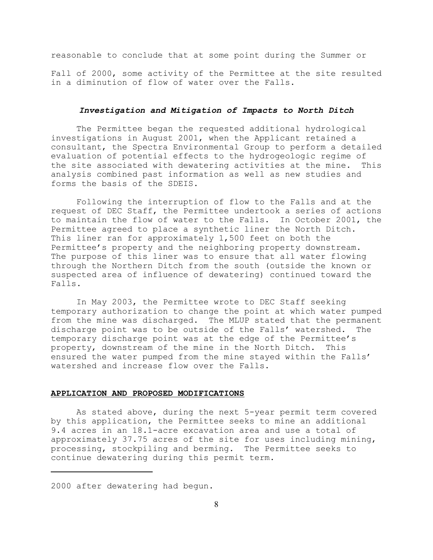reasonable to conclude that at some point during the Summer or

Fall of 2000, some activity of the Permittee at the site resulted in a diminution of flow of water over the Falls.

## *Investigation and Mitigation of Impacts to North Ditch*

The Permittee began the requested additional hydrological investigations in August 2001, when the Applicant retained a consultant, the Spectra Environmental Group to perform a detailed evaluation of potential effects to the hydrogeologic regime of the site associated with dewatering activities at the mine. This analysis combined past information as well as new studies and forms the basis of the SDEIS.

Following the interruption of flow to the Falls and at the request of DEC Staff, the Permittee undertook a series of actions to maintain the flow of water to the Falls. In October 2001, the Permittee agreed to place a synthetic liner the North Ditch. This liner ran for approximately 1,500 feet on both the Permittee's property and the neighboring property downstream. The purpose of this liner was to ensure that all water flowing through the Northern Ditch from the south (outside the known or suspected area of influence of dewatering) continued toward the Falls.

In May 2003, the Permittee wrote to DEC Staff seeking temporary authorization to change the point at which water pumped from the mine was discharged. The MLUP stated that the permanent discharge point was to be outside of the Falls' watershed. The temporary discharge point was at the edge of the Permittee's property, downstream of the mine in the North Ditch. This ensured the water pumped from the mine stayed within the Falls' watershed and increase flow over the Falls.

#### **APPLICATION AND PROPOSED MODIFICATIONS**

As stated above, during the next 5-year permit term covered by this application, the Permittee seeks to mine an additional 9.4 acres in an 18.1-acre excavation area and use a total of approximately 37.75 acres of the site for uses including mining, processing, stockpiling and berming. The Permittee seeks to continue dewatering during this permit term.

<sup>2000</sup> after dewatering had begun.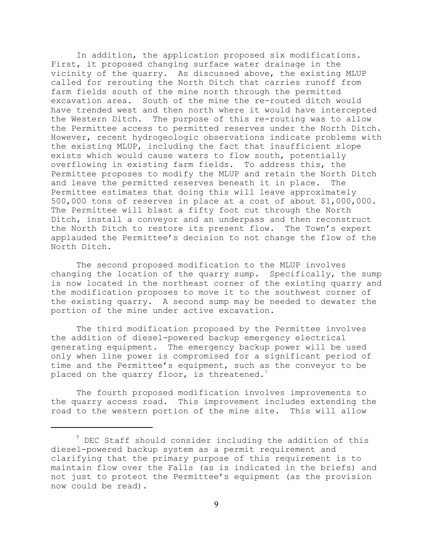In addition, the application proposed six modifications. First, it proposed changing surface water drainage in the vicinity of the quarry. As discussed above, the existing MLUP called for rerouting the North Ditch that carries runoff from farm fields south of the mine north through the permitted excavation area. South of the mine the re-routed ditch would have trended west and then north where it would have intercepted the Western Ditch. The purpose of this re-routing was to allow the Permittee access to permitted reserves under the North Ditch. However, recent hydrogeologic observations indicate problems with the existing MLUP, including the fact that insufficient slope exists which would cause waters to flow south, potentially overflowing in existing farm fields. To address this, the Permittee proposes to modify the MLUP and retain the North Ditch and leave the permitted reserves beneath it in place. The Permittee estimates that doing this will leave approximately 500,000 tons of reserves in place at a cost of about \$1,000,000. The Permittee will blast a fifty foot cut through the North Ditch, install a conveyor and an underpass and then reconstruct the North Ditch to restore its present flow. The Town's expert applauded the Permittee's decision to not change the flow of the North Ditch.

The second proposed modification to the MLUP involves changing the location of the quarry sump. Specifically, the sump is now located in the northeast corner of the existing quarry and the modification proposes to move it to the southwest corner of the existing quarry. A second sump may be needed to dewater the portion of the mine under active excavation.

The third modification proposed by the Permittee involves the addition of diesel-powered backup emergency electrical generating equipment. The emergency backup power will be used only when line power is compromised for a significant period of time and the Permittee's equipment, such as the conveyor to be placed on the quarry floor, is threatened.<sup>7</sup>

The fourth proposed modification involves improvements to the quarry access road. This improvement includes extending the road to the western portion of the mine site. This will allow

 $^7$  DEC Staff should consider including the addition of this diesel-powered backup system as a permit requirement and clarifying that the primary purpose of this requirement is to maintain flow over the Falls (as is indicated in the briefs) and not just to protect the Permittee's equipment (as the provision now could be read).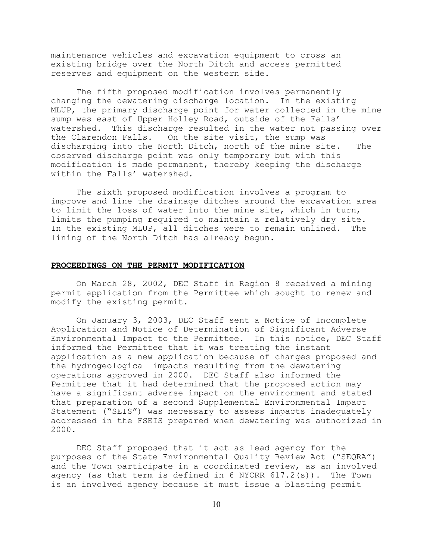maintenance vehicles and excavation equipment to cross an existing bridge over the North Ditch and access permitted reserves and equipment on the western side.

The fifth proposed modification involves permanently changing the dewatering discharge location. In the existing MLUP, the primary discharge point for water collected in the mine sump was east of Upper Holley Road, outside of the Falls' watershed. This discharge resulted in the water not passing over the Clarendon Falls. On the site visit, the sump was discharging into the North Ditch, north of the mine site. The observed discharge point was only temporary but with this modification is made permanent, thereby keeping the discharge within the Falls' watershed.

The sixth proposed modification involves a program to improve and line the drainage ditches around the excavation area to limit the loss of water into the mine site, which in turn, limits the pumping required to maintain a relatively dry site. In the existing MLUP, all ditches were to remain unlined. The lining of the North Ditch has already begun.

#### **PROCEEDINGS ON THE PERMIT MODIFICATION**

On March 28, 2002, DEC Staff in Region 8 received a mining permit application from the Permittee which sought to renew and modify the existing permit.

On January 3, 2003, DEC Staff sent a Notice of Incomplete Application and Notice of Determination of Significant Adverse Environmental Impact to the Permittee. In this notice, DEC Staff informed the Permittee that it was treating the instant application as a new application because of changes proposed and the hydrogeological impacts resulting from the dewatering operations approved in 2000. DEC Staff also informed the Permittee that it had determined that the proposed action may have a significant adverse impact on the environment and stated that preparation of a second Supplemental Environmental Impact Statement ("SEIS") was necessary to assess impacts inadequately addressed in the FSEIS prepared when dewatering was authorized in 2000.

DEC Staff proposed that it act as lead agency for the purposes of the State Environmental Quality Review Act ("SEQRA") and the Town participate in a coordinated review, as an involved agency (as that term is defined in 6 NYCRR  $617.2(s)$ ). The Town is an involved agency because it must issue a blasting permit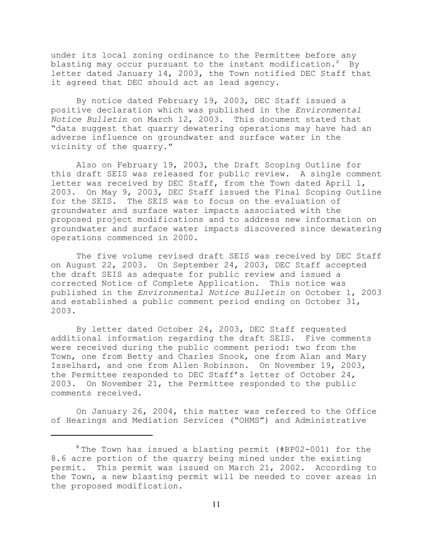under its local zoning ordinance to the Permittee before any blasting may occur pursuant to the instant modification. $8$  By letter dated January 14, 2003, the Town notified DEC Staff that it agreed that DEC should act as lead agency.

By notice dated February 19, 2003, DEC Staff issued a positive declaration which was published in the *Environmental Notice Bulletin* on March 12, 2003. This document stated that "data suggest that quarry dewatering operations may have had an adverse influence on groundwater and surface water in the vicinity of the quarry."

Also on February 19, 2003, the Draft Scoping Outline for this draft SEIS was released for public review. A single comment letter was received by DEC Staff, from the Town dated April 1, 2003. On May 9, 2003, DEC Staff issued the Final Scoping Outline for the SEIS. The SEIS was to focus on the evaluation of groundwater and surface water impacts associated with the proposed project modifications and to address new information on groundwater and surface water impacts discovered since dewatering operations commenced in 2000.

The five volume revised draft SEIS was received by DEC Staff on August 22, 2003. On September 24, 2003, DEC Staff accepted the draft SEIS as adequate for public review and issued a corrected Notice of Complete Application. This notice was published in the *Environmental Notice Bulletin* on October 1, 2003 and established a public comment period ending on October 31, 2003.

By letter dated October 24, 2003, DEC Staff requested additional information regarding the draft SEIS. Five comments were received during the public comment period: two from the Town, one from Betty and Charles Snook, one from Alan and Mary Isselhard, and one from Allen Robinson. On November 19, 2003, the Permittee responded to DEC Staff's letter of October 24, 2003. On November 21, the Permittee responded to the public comments received.

On January 26, 2004, this matter was referred to the Office of Hearings and Mediation Services ("OHMS") and Administrative

 $8$  The Town has issued a blasting permit (#BP02-001) for the 8.6 acre portion of the quarry being mined under the existing permit. This permit was issued on March 21, 2002. According to the Town, a new blasting permit will be needed to cover areas in the proposed modification.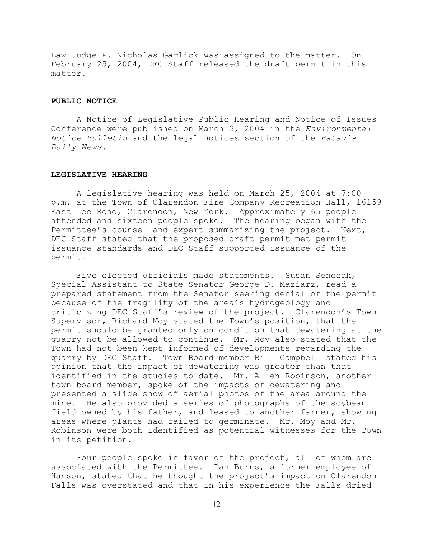Law Judge P. Nicholas Garlick was assigned to the matter. On February 25, 2004, DEC Staff released the draft permit in this matter.

#### **PUBLIC NOTICE**

A Notice of Legislative Public Hearing and Notice of Issues Conference were published on March 3, 2004 in the *Environmental Notice Bulletin* and the legal notices section of the *Batavia Daily News*.

# **LEGISLATIVE HEARING**

A legislative hearing was held on March 25, 2004 at 7:00 p.m. at the Town of Clarendon Fire Company Recreation Hall, 16159 East Lee Road, Clarendon, New York. Approximately 65 people attended and sixteen people spoke. The hearing began with the Permittee's counsel and expert summarizing the project. Next, DEC Staff stated that the proposed draft permit met permit issuance standards and DEC Staff supported issuance of the permit.

Five elected officials made statements. Susan Senecah, Special Assistant to State Senator George D. Maziarz, read a prepared statement from the Senator seeking denial of the permit because of the fragility of the area's hydrogeology and criticizing DEC Staff's review of the project. Clarendon's Town Supervisor, Richard Moy stated the Town's position, that the permit should be granted only on condition that dewatering at the quarry not be allowed to continue. Mr. Moy also stated that the Town had not been kept informed of developments regarding the quarry by DEC Staff. Town Board member Bill Campbell stated his opinion that the impact of dewatering was greater than that identified in the studies to date. Mr. Allen Robinson, another town board member, spoke of the impacts of dewatering and presented a slide show of aerial photos of the area around the mine. He also provided a series of photographs of the soybean field owned by his father, and leased to another farmer, showing areas where plants had failed to germinate. Mr. Moy and Mr. Robinson were both identified as potential witnesses for the Town in its petition.

Four people spoke in favor of the project, all of whom are associated with the Permittee. Dan Burns, a former employee of Hanson, stated that he thought the project's impact on Clarendon Falls was overstated and that in his experience the Falls dried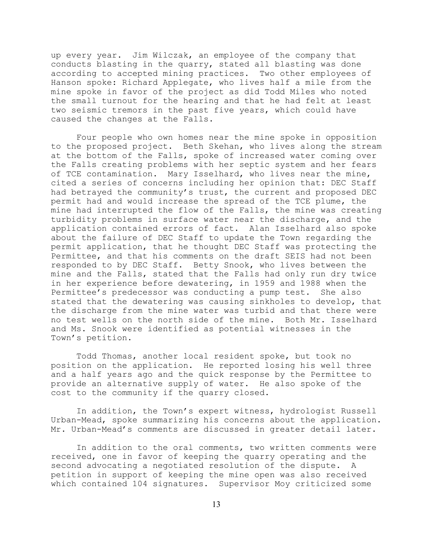up every year. Jim Wilczak, an employee of the company that conducts blasting in the quarry, stated all blasting was done according to accepted mining practices. Two other employees of Hanson spoke: Richard Applegate, who lives half a mile from the mine spoke in favor of the project as did Todd Miles who noted the small turnout for the hearing and that he had felt at least two seismic tremors in the past five years, which could have caused the changes at the Falls.

Four people who own homes near the mine spoke in opposition to the proposed project. Beth Skehan, who lives along the stream at the bottom of the Falls, spoke of increased water coming over the Falls creating problems with her septic system and her fears of TCE contamination. Mary Isselhard, who lives near the mine, cited a series of concerns including her opinion that: DEC Staff had betrayed the community's trust, the current and proposed DEC permit had and would increase the spread of the TCE plume, the mine had interrupted the flow of the Falls, the mine was creating turbidity problems in surface water near the discharge, and the application contained errors of fact. Alan Isselhard also spoke about the failure of DEC Staff to update the Town regarding the permit application, that he thought DEC Staff was protecting the Permittee, and that his comments on the draft SEIS had not been responded to by DEC Staff. Betty Snook, who lives between the mine and the Falls, stated that the Falls had only run dry twice in her experience before dewatering, in 1959 and 1988 when the Permittee's predecessor was conducting a pump test. She also stated that the dewatering was causing sinkholes to develop, that the discharge from the mine water was turbid and that there were no test wells on the north side of the mine. Both Mr. Isselhard and Ms. Snook were identified as potential witnesses in the Town's petition.

Todd Thomas, another local resident spoke, but took no position on the application. He reported losing his well three and a half years ago and the quick response by the Permittee to provide an alternative supply of water. He also spoke of the cost to the community if the quarry closed.

In addition, the Town's expert witness, hydrologist Russell Urban-Mead, spoke summarizing his concerns about the application. Mr. Urban-Mead's comments are discussed in greater detail later.

In addition to the oral comments, two written comments were received, one in favor of keeping the quarry operating and the second advocating a negotiated resolution of the dispute. A petition in support of keeping the mine open was also received which contained 104 signatures. Supervisor Moy criticized some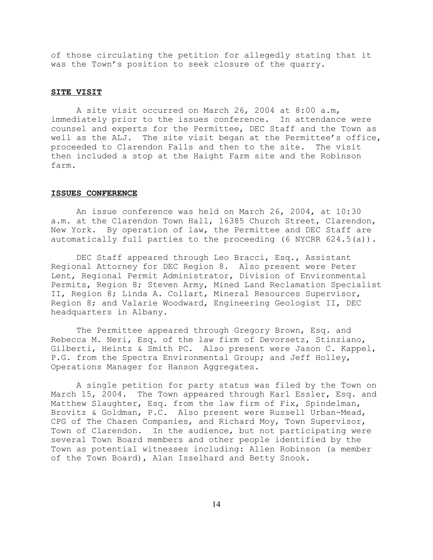of those circulating the petition for allegedly stating that it was the Town's position to seek closure of the quarry.

#### **SITE VISIT**

A site visit occurred on March 26, 2004 at 8:00 a.m, immediately prior to the issues conference. In attendance were counsel and experts for the Permittee, DEC Staff and the Town as well as the ALJ. The site visit began at the Permittee's office, proceeded to Clarendon Falls and then to the site. The visit then included a stop at the Haight Farm site and the Robinson farm.

#### **ISSUES CONFERENCE**

An issue conference was held on March 26, 2004, at 10:30 a.m. at the Clarendon Town Hall, 16385 Church Street, Clarendon, New York. By operation of law, the Permittee and DEC Staff are automatically full parties to the proceeding (6 NYCRR 624.5(a)).

DEC Staff appeared through Leo Bracci, Esq., Assistant Regional Attorney for DEC Region 8. Also present were Peter Lent, Regional Permit Administrator, Division of Environmental Permits, Region 8; Steven Army, Mined Land Reclamation Specialist II, Region 8; Linda A. Collart, Mineral Resources Supervisor, Region 8; and Valarie Woodward, Engineering Geologist II, DEC headquarters in Albany.

The Permittee appeared through Gregory Brown, Esq. and Rebecca M. Neri, Esq. of the law firm of Devorsetz, Stinziano, Gilberti, Heintz & Smith PC. Also present were Jason C. Kappel, P.G. from the Spectra Environmental Group; and Jeff Holley, Operations Manager for Hanson Aggregates.

A single petition for party status was filed by the Town on March 15, 2004. The Town appeared through Karl Essler, Esq. and Matthew Slaughter, Esq. from the law firm of Fix, Spindelman, Brovitz & Goldman, P.C. Also present were Russell Urban-Mead, CPG of The Chazen Companies, and Richard Moy, Town Supervisor, Town of Clarendon. In the audience, but not participating were several Town Board members and other people identified by the Town as potential witnesses including: Allen Robinson (a member of the Town Board), Alan Isselhard and Betty Snook.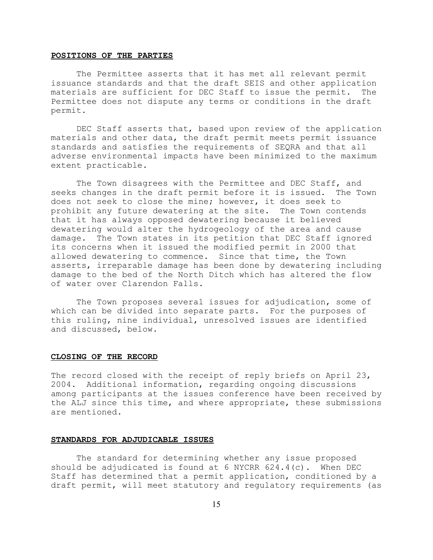#### **POSITIONS OF THE PARTIES**

The Permittee asserts that it has met all relevant permit issuance standards and that the draft SEIS and other application materials are sufficient for DEC Staff to issue the permit. The Permittee does not dispute any terms or conditions in the draft permit.

DEC Staff asserts that, based upon review of the application materials and other data, the draft permit meets permit issuance standards and satisfies the requirements of SEQRA and that all adverse environmental impacts have been minimized to the maximum extent practicable.

The Town disagrees with the Permittee and DEC Staff, and seeks changes in the draft permit before it is issued. The Town does not seek to close the mine; however, it does seek to prohibit any future dewatering at the site. The Town contends that it has always opposed dewatering because it believed dewatering would alter the hydrogeology of the area and cause damage. The Town states in its petition that DEC Staff ignored its concerns when it issued the modified permit in 2000 that allowed dewatering to commence. Since that time, the Town asserts, irreparable damage has been done by dewatering including damage to the bed of the North Ditch which has altered the flow of water over Clarendon Falls.

The Town proposes several issues for adjudication, some of which can be divided into separate parts. For the purposes of this ruling, nine individual, unresolved issues are identified and discussed, below.

#### **CLOSING OF THE RECORD**

The record closed with the receipt of reply briefs on April 23, 2004. Additional information, regarding ongoing discussions among participants at the issues conference have been received by the ALJ since this time, and where appropriate, these submissions are mentioned.

#### **STANDARDS FOR ADJUDICABLE ISSUES**

The standard for determining whether any issue proposed should be adjudicated is found at  $6$  NYCRR  $624.4(c)$ . When DEC Staff has determined that a permit application, conditioned by a draft permit, will meet statutory and regulatory requirements (as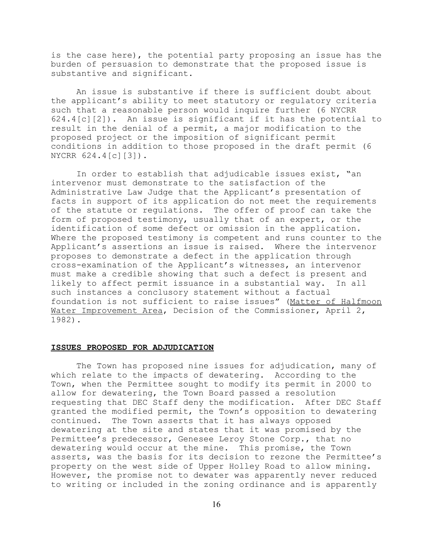is the case here), the potential party proposing an issue has the burden of persuasion to demonstrate that the proposed issue is substantive and significant.

An issue is substantive if there is sufficient doubt about the applicant's ability to meet statutory or regulatory criteria such that a reasonable person would inquire further (6 NYCRR 624.4[c][2]). An issue is significant if it has the potential to result in the denial of a permit, a major modification to the proposed project or the imposition of significant permit conditions in addition to those proposed in the draft permit (6 NYCRR 624.4[c][3]).

In order to establish that adjudicable issues exist, "an intervenor must demonstrate to the satisfaction of the Administrative Law Judge that the Applicant's presentation of facts in support of its application do not meet the requirements of the statute or regulations. The offer of proof can take the form of proposed testimony, usually that of an expert, or the identification of some defect or omission in the application. Where the proposed testimony is competent and runs counter to the Applicant's assertions an issue is raised. Where the intervenor proposes to demonstrate a defect in the application through cross-examination of the Applicant's witnesses, an intervenor must make a credible showing that such a defect is present and likely to affect permit issuance in a substantial way. In all such instances a conclusory statement without a factual foundation is not sufficient to raise issues" (Matter of Halfmoon Water Improvement Area, Decision of the Commissioner, April 2, 1982).

#### **ISSUES PROPOSED FOR ADJUDICATION**

The Town has proposed nine issues for adjudication, many of which relate to the impacts of dewatering. According to the Town, when the Permittee sought to modify its permit in 2000 to allow for dewatering, the Town Board passed a resolution requesting that DEC Staff deny the modification. After DEC Staff granted the modified permit, the Town's opposition to dewatering continued. The Town asserts that it has always opposed dewatering at the site and states that it was promised by the Permittee's predecessor, Genesee Leroy Stone Corp., that no dewatering would occur at the mine. This promise, the Town asserts, was the basis for its decision to rezone the Permittee's property on the west side of Upper Holley Road to allow mining. However, the promise not to dewater was apparently never reduced to writing or included in the zoning ordinance and is apparently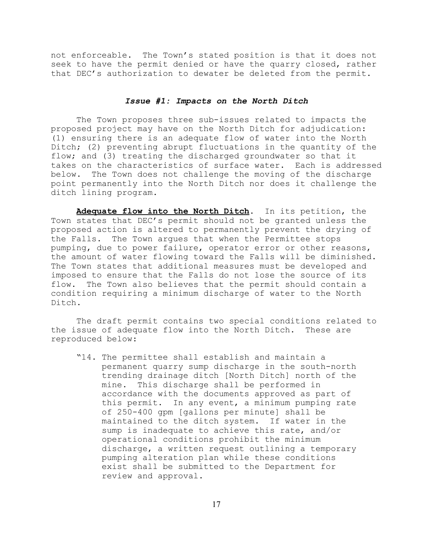not enforceable. The Town's stated position is that it does not seek to have the permit denied or have the quarry closed, rather that DEC's authorization to dewater be deleted from the permit.

## *Issue #1: Impacts on the North Ditch*

The Town proposes three sub-issues related to impacts the proposed project may have on the North Ditch for adjudication: (1) ensuring there is an adequate flow of water into the North Ditch; (2) preventing abrupt fluctuations in the quantity of the flow; and (3) treating the discharged groundwater so that it takes on the characteristics of surface water. Each is addressed below. The Town does not challenge the moving of the discharge point permanently into the North Ditch nor does it challenge the ditch lining program.

**Adequate flow into the North Ditch**. In its petition, the Town states that DEC's permit should not be granted unless the proposed action is altered to permanently prevent the drying of the Falls. The Town argues that when the Permittee stops pumping, due to power failure, operator error or other reasons, the amount of water flowing toward the Falls will be diminished. The Town states that additional measures must be developed and imposed to ensure that the Falls do not lose the source of its flow. The Town also believes that the permit should contain a condition requiring a minimum discharge of water to the North Ditch.

The draft permit contains two special conditions related to the issue of adequate flow into the North Ditch. These are reproduced below:

"14. The permittee shall establish and maintain a permanent quarry sump discharge in the south-north trending drainage ditch [North Ditch] north of the mine. This discharge shall be performed in accordance with the documents approved as part of this permit. In any event, a minimum pumping rate of 250-400 gpm [gallons per minute] shall be maintained to the ditch system. If water in the sump is inadequate to achieve this rate, and/or operational conditions prohibit the minimum discharge, a written request outlining a temporary pumping alteration plan while these conditions exist shall be submitted to the Department for review and approval.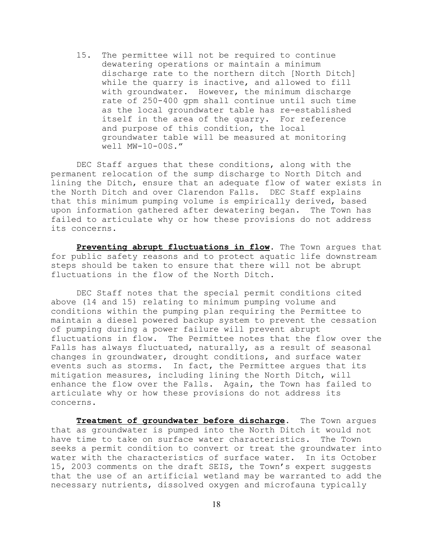15. The permittee will not be required to continue dewatering operations or maintain a minimum discharge rate to the northern ditch [North Ditch] while the quarry is inactive, and allowed to fill with groundwater. However, the minimum discharge rate of 250-400 gpm shall continue until such time as the local groundwater table has re-established itself in the area of the quarry. For reference and purpose of this condition, the local groundwater table will be measured at monitoring well MW-10-00S."

DEC Staff argues that these conditions, along with the permanent relocation of the sump discharge to North Ditch and lining the Ditch, ensure that an adequate flow of water exists in the North Ditch and over Clarendon Falls. DEC Staff explains that this minimum pumping volume is empirically derived, based upon information gathered after dewatering began. The Town has failed to articulate why or how these provisions do not address its concerns.

**Preventing abrupt fluctuations in flow**. The Town argues that for public safety reasons and to protect aquatic life downstream steps should be taken to ensure that there will not be abrupt fluctuations in the flow of the North Ditch.

DEC Staff notes that the special permit conditions cited above (14 and 15) relating to minimum pumping volume and conditions within the pumping plan requiring the Permittee to maintain a diesel powered backup system to prevent the cessation of pumping during a power failure will prevent abrupt fluctuations in flow. The Permittee notes that the flow over the Falls has always fluctuated, naturally, as a result of seasonal changes in groundwater, drought conditions, and surface water events such as storms. In fact, the Permittee argues that its mitigation measures, including lining the North Ditch, will enhance the flow over the Falls. Again, the Town has failed to articulate why or how these provisions do not address its concerns.

**Treatment of groundwater before discharge**. The Town argues that as groundwater is pumped into the North Ditch it would not have time to take on surface water characteristics. The Town seeks a permit condition to convert or treat the groundwater into water with the characteristics of surface water. In its October 15, 2003 comments on the draft SEIS, the Town's expert suggests that the use of an artificial wetland may be warranted to add the necessary nutrients, dissolved oxygen and microfauna typically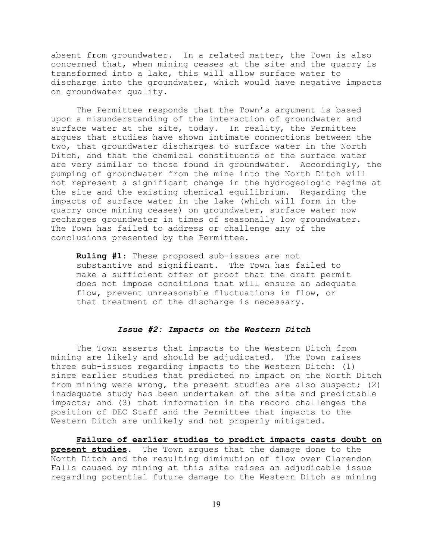absent from groundwater. In a related matter, the Town is also concerned that, when mining ceases at the site and the quarry is transformed into a lake, this will allow surface water to discharge into the groundwater, which would have negative impacts on groundwater quality.

The Permittee responds that the Town's argument is based upon a misunderstanding of the interaction of groundwater and surface water at the site, today. In reality, the Permittee argues that studies have shown intimate connections between the two, that groundwater discharges to surface water in the North Ditch, and that the chemical constituents of the surface water are very similar to those found in groundwater. Accordingly, the pumping of groundwater from the mine into the North Ditch will not represent a significant change in the hydrogeologic regime at the site and the existing chemical equilibrium. Regarding the impacts of surface water in the lake (which will form in the quarry once mining ceases) on groundwater, surface water now recharges groundwater in times of seasonally low groundwater. The Town has failed to address or challenge any of the conclusions presented by the Permittee.

**Ruling #1**: These proposed sub-issues are not substantive and significant. The Town has failed to make a sufficient offer of proof that the draft permit does not impose conditions that will ensure an adequate flow, prevent unreasonable fluctuations in flow, or that treatment of the discharge is necessary.

### *Issue #2: Impacts on the Western Ditch*

The Town asserts that impacts to the Western Ditch from mining are likely and should be adjudicated. The Town raises three sub-issues regarding impacts to the Western Ditch: (1) since earlier studies that predicted no impact on the North Ditch from mining were wrong, the present studies are also suspect; (2) inadequate study has been undertaken of the site and predictable impacts; and (3) that information in the record challenges the position of DEC Staff and the Permittee that impacts to the Western Ditch are unlikely and not properly mitigated.

**Failure of earlier studies to predict impacts casts doubt on present studies**. The Town argues that the damage done to the North Ditch and the resulting diminution of flow over Clarendon Falls caused by mining at this site raises an adjudicable issue regarding potential future damage to the Western Ditch as mining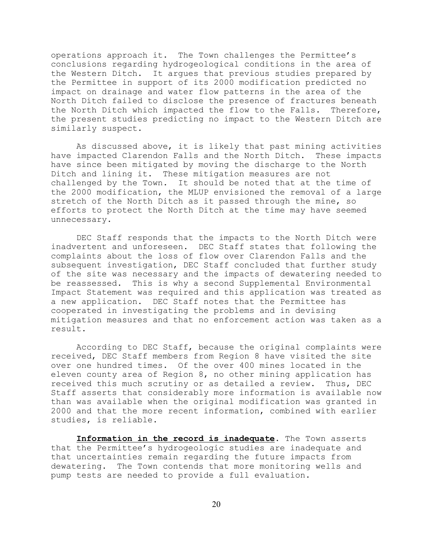operations approach it. The Town challenges the Permittee's conclusions regarding hydrogeological conditions in the area of the Western Ditch. It argues that previous studies prepared by the Permittee in support of its 2000 modification predicted no impact on drainage and water flow patterns in the area of the North Ditch failed to disclose the presence of fractures beneath the North Ditch which impacted the flow to the Falls. Therefore, the present studies predicting no impact to the Western Ditch are similarly suspect.

As discussed above, it is likely that past mining activities have impacted Clarendon Falls and the North Ditch. These impacts have since been mitigated by moving the discharge to the North Ditch and lining it. These mitigation measures are not challenged by the Town. It should be noted that at the time of the 2000 modification, the MLUP envisioned the removal of a large stretch of the North Ditch as it passed through the mine, so efforts to protect the North Ditch at the time may have seemed unnecessary.

DEC Staff responds that the impacts to the North Ditch were inadvertent and unforeseen. DEC Staff states that following the complaints about the loss of flow over Clarendon Falls and the subsequent investigation, DEC Staff concluded that further study of the site was necessary and the impacts of dewatering needed to be reassessed. This is why a second Supplemental Environmental Impact Statement was required and this application was treated as a new application. DEC Staff notes that the Permittee has cooperated in investigating the problems and in devising mitigation measures and that no enforcement action was taken as a result.

According to DEC Staff, because the original complaints were received, DEC Staff members from Region 8 have visited the site over one hundred times. Of the over 400 mines located in the eleven county area of Region 8, no other mining application has received this much scrutiny or as detailed a review. Thus, DEC Staff asserts that considerably more information is available now than was available when the original modification was granted in 2000 and that the more recent information, combined with earlier studies, is reliable.

**Information in the record is inadequate**. The Town asserts that the Permittee's hydrogeologic studies are inadequate and that uncertainties remain regarding the future impacts from dewatering. The Town contends that more monitoring wells and pump tests are needed to provide a full evaluation.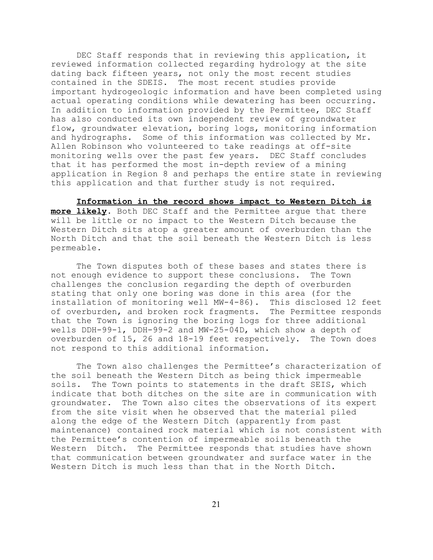DEC Staff responds that in reviewing this application, it reviewed information collected regarding hydrology at the site dating back fifteen years, not only the most recent studies contained in the SDEIS. The most recent studies provide important hydrogeologic information and have been completed using actual operating conditions while dewatering has been occurring. In addition to information provided by the Permittee, DEC Staff has also conducted its own independent review of groundwater flow, groundwater elevation, boring logs, monitoring information and hydrographs. Some of this information was collected by Mr. Allen Robinson who volunteered to take readings at off-site monitoring wells over the past few years. DEC Staff concludes that it has performed the most in-depth review of a mining application in Region 8 and perhaps the entire state in reviewing this application and that further study is not required.

**Information in the record shows impact to Western Ditch is more likely**. Both DEC Staff and the Permittee argue that there will be little or no impact to the Western Ditch because the Western Ditch sits atop a greater amount of overburden than the North Ditch and that the soil beneath the Western Ditch is less permeable.

The Town disputes both of these bases and states there is not enough evidence to support these conclusions. The Town challenges the conclusion regarding the depth of overburden stating that only one boring was done in this area (for the installation of monitoring well MW-4-86). This disclosed 12 feet of overburden, and broken rock fragments. The Permittee responds that the Town is ignoring the boring logs for three additional wells DDH-99-1, DDH-99-2 and MW-25-04D, which show a depth of overburden of 15, 26 and 18-19 feet respectively. The Town does not respond to this additional information.

The Town also challenges the Permittee's characterization of the soil beneath the Western Ditch as being thick impermeable soils. The Town points to statements in the draft SEIS, which indicate that both ditches on the site are in communication with groundwater. The Town also cites the observations of its expert from the site visit when he observed that the material piled along the edge of the Western Ditch (apparently from past maintenance) contained rock material which is not consistent with the Permittee's contention of impermeable soils beneath the Western Ditch. The Permittee responds that studies have shown that communication between groundwater and surface water in the Western Ditch is much less than that in the North Ditch.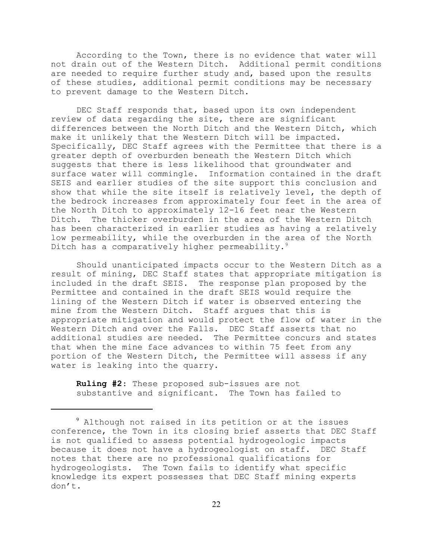According to the Town, there is no evidence that water will not drain out of the Western Ditch. Additional permit conditions are needed to require further study and, based upon the results of these studies, additional permit conditions may be necessary to prevent damage to the Western Ditch.

DEC Staff responds that, based upon its own independent review of data regarding the site, there are significant differences between the North Ditch and the Western Ditch, which make it unlikely that the Western Ditch will be impacted. Specifically, DEC Staff agrees with the Permittee that there is a greater depth of overburden beneath the Western Ditch which suggests that there is less likelihood that groundwater and surface water will commingle. Information contained in the draft SEIS and earlier studies of the site support this conclusion and show that while the site itself is relatively level, the depth of the bedrock increases from approximately four feet in the area of the North Ditch to approximately 12-16 feet near the Western Ditch. The thicker overburden in the area of the Western Ditch has been characterized in earlier studies as having a relatively low permeability, while the overburden in the area of the North Ditch has a comparatively higher permeability.<sup>9</sup>

Should unanticipated impacts occur to the Western Ditch as a result of mining, DEC Staff states that appropriate mitigation is included in the draft SEIS. The response plan proposed by the Permittee and contained in the draft SEIS would require the lining of the Western Ditch if water is observed entering the mine from the Western Ditch. Staff argues that this is appropriate mitigation and would protect the flow of water in the Western Ditch and over the Falls. DEC Staff asserts that no additional studies are needed. The Permittee concurs and states that when the mine face advances to within 75 feet from any portion of the Western Ditch, the Permittee will assess if any water is leaking into the quarry.

**Ruling #2**: These proposed sub-issues are not substantive and significant. The Town has failed to

<sup>&</sup>lt;sup>9</sup> Although not raised in its petition or at the issues conference, the Town in its closing brief asserts that DEC Staff is not qualified to assess potential hydrogeologic impacts because it does not have a hydrogeologist on staff. DEC Staff notes that there are no professional qualifications for hydrogeologists. The Town fails to identify what specific knowledge its expert possesses that DEC Staff mining experts don't.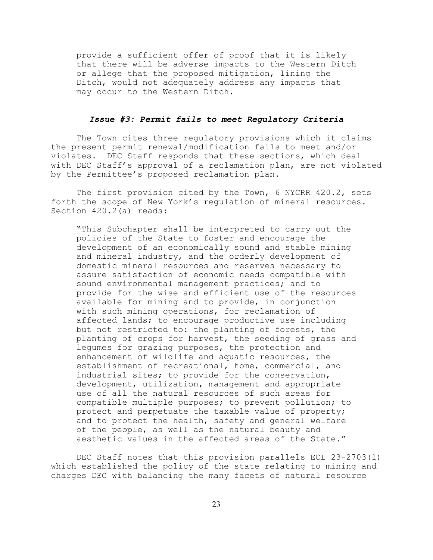provide a sufficient offer of proof that it is likely that there will be adverse impacts to the Western Ditch or allege that the proposed mitigation, lining the Ditch, would not adequately address any impacts that may occur to the Western Ditch.

#### *Issue #3: Permit fails to meet Regulatory Criteria*

The Town cites three regulatory provisions which it claims the present permit renewal/modification fails to meet and/or violates. DEC Staff responds that these sections, which deal with DEC Staff's approval of a reclamation plan, are not violated by the Permittee's proposed reclamation plan.

The first provision cited by the Town, 6 NYCRR 420.2, sets forth the scope of New York's regulation of mineral resources. Section 420.2(a) reads:

"This Subchapter shall be interpreted to carry out the policies of the State to foster and encourage the development of an economically sound and stable mining and mineral industry, and the orderly development of domestic mineral resources and reserves necessary to assure satisfaction of economic needs compatible with sound environmental management practices; and to provide for the wise and efficient use of the resources available for mining and to provide, in conjunction with such mining operations, for reclamation of affected lands; to encourage productive use including but not restricted to: the planting of forests, the planting of crops for harvest, the seeding of grass and legumes for grazing purposes, the protection and enhancement of wildlife and aquatic resources, the establishment of recreational, home, commercial, and industrial sites; to provide for the conservation, development, utilization, management and appropriate use of all the natural resources of such areas for compatible multiple purposes; to prevent pollution; to protect and perpetuate the taxable value of property; and to protect the health, safety and general welfare of the people, as well as the natural beauty and aesthetic values in the affected areas of the State."

DEC Staff notes that this provision parallels ECL 23-2703(1) which established the policy of the state relating to mining and charges DEC with balancing the many facets of natural resource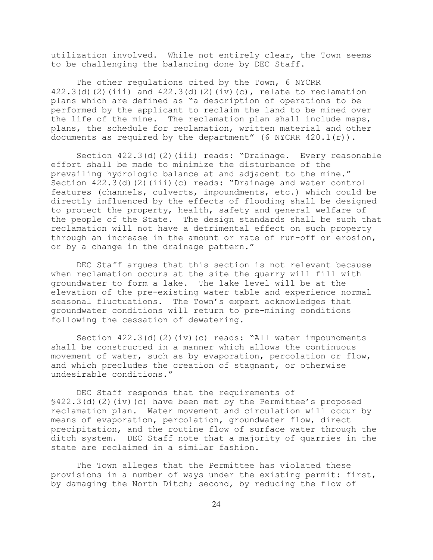utilization involved. While not entirely clear, the Town seems to be challenging the balancing done by DEC Staff.

The other regulations cited by the Town, 6 NYCRR 422.3(d)(2)(iii) and  $422.3$ (d)(2)(iv)(c), relate to reclamation plans which are defined as "a description of operations to be performed by the applicant to reclaim the land to be mined over the life of the mine. The reclamation plan shall include maps, plans, the schedule for reclamation, written material and other documents as required by the department" (6 NYCRR 420.1(r)).

Section 422.3(d)(2)(iii) reads: "Drainage. Every reasonable effort shall be made to minimize the disturbance of the prevailing hydrologic balance at and adjacent to the mine." Section 422.3(d)(2)(iii)(c) reads: "Drainage and water control features (channels, culverts, impoundments, etc.) which could be directly influenced by the effects of flooding shall be designed to protect the property, health, safety and general welfare of the people of the State. The design standards shall be such that reclamation will not have a detrimental effect on such property through an increase in the amount or rate of run-off or erosion, or by a change in the drainage pattern."

DEC Staff argues that this section is not relevant because when reclamation occurs at the site the quarry will fill with groundwater to form a lake. The lake level will be at the elevation of the pre-existing water table and experience normal seasonal fluctuations. The Town's expert acknowledges that groundwater conditions will return to pre-mining conditions following the cessation of dewatering.

Section  $422.3$ (d)(2)(iv)(c) reads: "All water impoundments shall be constructed in a manner which allows the continuous movement of water, such as by evaporation, percolation or flow, and which precludes the creation of stagnant, or otherwise undesirable conditions."

DEC Staff responds that the requirements of §422.3(d)(2)(iv)(c) have been met by the Permittee's proposed reclamation plan. Water movement and circulation will occur by means of evaporation, percolation, groundwater flow, direct precipitation, and the routine flow of surface water through the ditch system. DEC Staff note that a majority of quarries in the state are reclaimed in a similar fashion.

The Town alleges that the Permittee has violated these provisions in a number of ways under the existing permit: first, by damaging the North Ditch; second, by reducing the flow of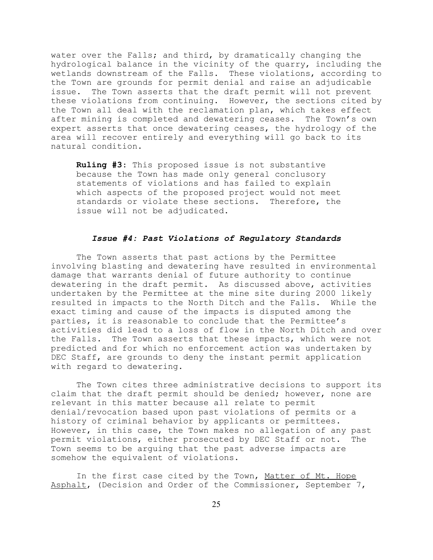water over the Falls; and third, by dramatically changing the hydrological balance in the vicinity of the quarry, including the wetlands downstream of the Falls. These violations, according to the Town are grounds for permit denial and raise an adjudicable issue. The Town asserts that the draft permit will not prevent these violations from continuing. However, the sections cited by the Town all deal with the reclamation plan, which takes effect after mining is completed and dewatering ceases. The Town's own expert asserts that once dewatering ceases, the hydrology of the area will recover entirely and everything will go back to its natural condition.

**Ruling #3**: This proposed issue is not substantive because the Town has made only general conclusory statements of violations and has failed to explain which aspects of the proposed project would not meet standards or violate these sections. Therefore, the issue will not be adjudicated.

# *Issue #4: Past Violations of Regulatory Standards*

The Town asserts that past actions by the Permittee involving blasting and dewatering have resulted in environmental damage that warrants denial of future authority to continue dewatering in the draft permit. As discussed above, activities undertaken by the Permittee at the mine site during 2000 likely resulted in impacts to the North Ditch and the Falls. While the exact timing and cause of the impacts is disputed among the parties, it is reasonable to conclude that the Permittee's activities did lead to a loss of flow in the North Ditch and over the Falls. The Town asserts that these impacts, which were not predicted and for which no enforcement action was undertaken by DEC Staff, are grounds to deny the instant permit application with regard to dewatering.

The Town cites three administrative decisions to support its claim that the draft permit should be denied; however, none are relevant in this matter because all relate to permit denial/revocation based upon past violations of permits or a history of criminal behavior by applicants or permittees. However, in this case, the Town makes no allegation of any past permit violations, either prosecuted by DEC Staff or not. The Town seems to be arguing that the past adverse impacts are somehow the equivalent of violations.

In the first case cited by the Town, Matter of Mt. Hope Asphalt, (Decision and Order of the Commissioner, September 7,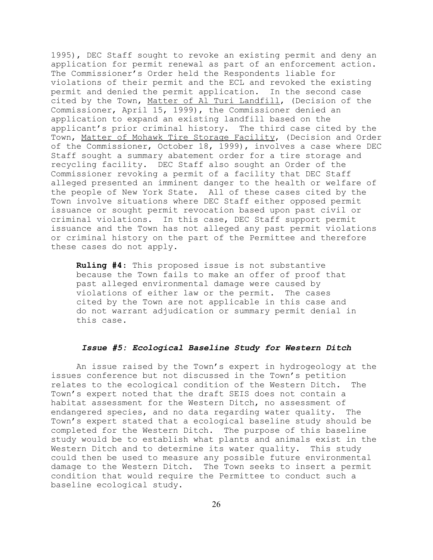1995), DEC Staff sought to revoke an existing permit and deny an application for permit renewal as part of an enforcement action. The Commissioner's Order held the Respondents liable for violations of their permit and the ECL and revoked the existing permit and denied the permit application. In the second case cited by the Town, Matter of Al Turi Landfill, (Decision of the Commissioner, April 15, 1999), the Commissioner denied an application to expand an existing landfill based on the applicant's prior criminal history. The third case cited by the Town, Matter of Mohawk Tire Storage Facility, (Decision and Order of the Commissioner, October 18, 1999), involves a case where DEC Staff sought a summary abatement order for a tire storage and recycling facility. DEC Staff also sought an Order of the Commissioner revoking a permit of a facility that DEC Staff alleged presented an imminent danger to the health or welfare of the people of New York State. All of these cases cited by the Town involve situations where DEC Staff either opposed permit issuance or sought permit revocation based upon past civil or criminal violations. In this case, DEC Staff support permit issuance and the Town has not alleged any past permit violations or criminal history on the part of the Permittee and therefore these cases do not apply.

**Ruling #4**: This proposed issue is not substantive because the Town fails to make an offer of proof that past alleged environmental damage were caused by violations of either law or the permit. The cases cited by the Town are not applicable in this case and do not warrant adjudication or summary permit denial in this case.

## *Issue #5: Ecological Baseline Study for Western Ditch*

An issue raised by the Town's expert in hydrogeology at the issues conference but not discussed in the Town's petition relates to the ecological condition of the Western Ditch. The Town's expert noted that the draft SEIS does not contain a habitat assessment for the Western Ditch, no assessment of endangered species, and no data regarding water quality. The Town's expert stated that a ecological baseline study should be completed for the Western Ditch. The purpose of this baseline study would be to establish what plants and animals exist in the Western Ditch and to determine its water quality. This study could then be used to measure any possible future environmental damage to the Western Ditch. The Town seeks to insert a permit condition that would require the Permittee to conduct such a baseline ecological study.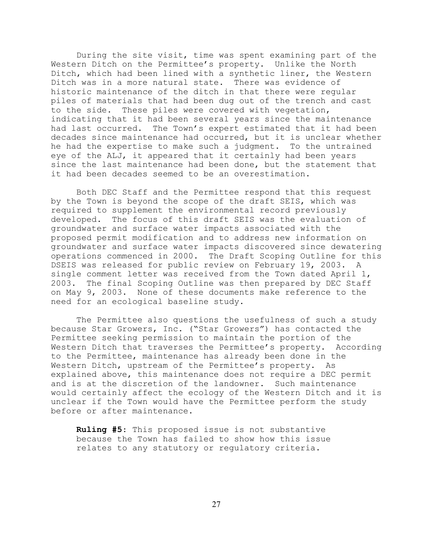During the site visit, time was spent examining part of the Western Ditch on the Permittee's property. Unlike the North Ditch, which had been lined with a synthetic liner, the Western Ditch was in a more natural state. There was evidence of historic maintenance of the ditch in that there were regular piles of materials that had been dug out of the trench and cast to the side. These piles were covered with vegetation, indicating that it had been several years since the maintenance had last occurred. The Town's expert estimated that it had been decades since maintenance had occurred, but it is unclear whether he had the expertise to make such a judgment. To the untrained eye of the ALJ, it appeared that it certainly had been years since the last maintenance had been done, but the statement that it had been decades seemed to be an overestimation.

Both DEC Staff and the Permittee respond that this request by the Town is beyond the scope of the draft SEIS, which was required to supplement the environmental record previously developed. The focus of this draft SEIS was the evaluation of groundwater and surface water impacts associated with the proposed permit modification and to address new information on groundwater and surface water impacts discovered since dewatering operations commenced in 2000. The Draft Scoping Outline for this DSEIS was released for public review on February 19, 2003. A single comment letter was received from the Town dated April 1, 2003. The final Scoping Outline was then prepared by DEC Staff on May 9, 2003. None of these documents make reference to the need for an ecological baseline study.

The Permittee also questions the usefulness of such a study because Star Growers, Inc. ("Star Growers") has contacted the Permittee seeking permission to maintain the portion of the Western Ditch that traverses the Permittee's property. According to the Permittee, maintenance has already been done in the Western Ditch, upstream of the Permittee's property. As explained above, this maintenance does not require a DEC permit and is at the discretion of the landowner. Such maintenance would certainly affect the ecology of the Western Ditch and it is unclear if the Town would have the Permittee perform the study before or after maintenance.

**Ruling #5**: This proposed issue is not substantive because the Town has failed to show how this issue relates to any statutory or regulatory criteria.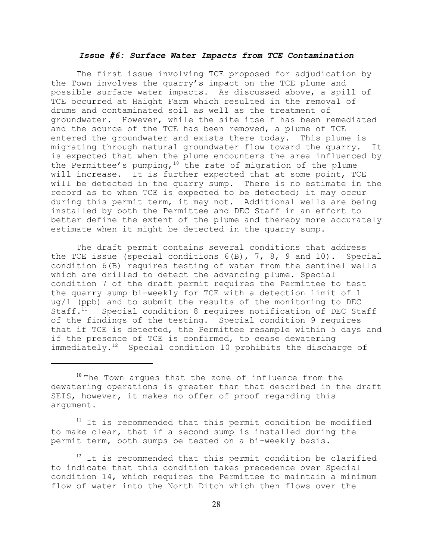#### *Issue #6: Surface Water Impacts from TCE Contamination*

The first issue involving TCE proposed for adjudication by the Town involves the quarry's impact on the TCE plume and possible surface water impacts. As discussed above, a spill of TCE occurred at Haight Farm which resulted in the removal of drums and contaminated soil as well as the treatment of groundwater. However, while the site itself has been remediated and the source of the TCE has been removed, a plume of TCE entered the groundwater and exists there today. This plume is migrating through natural groundwater flow toward the quarry. It is expected that when the plume encounters the area influenced by the Permittee's pumping,  $10$  the rate of migration of the plume will increase. It is further expected that at some point, TCE will be detected in the quarry sump. There is no estimate in the record as to when TCE is expected to be detected; it may occur during this permit term, it may not. Additional wells are being installed by both the Permittee and DEC Staff in an effort to better define the extent of the plume and thereby more accurately estimate when it might be detected in the quarry sump.

The draft permit contains several conditions that address the TCE issue (special conditions 6(B), 7, 8, 9 and 10). Special condition 6(B) requires testing of water from the sentinel wells which are drilled to detect the advancing plume. Special condition 7 of the draft permit requires the Permittee to test the quarry sump bi-weekly for TCE with a detection limit of 1 ug/l (ppb) and to submit the results of the monitoring to DEC<br>Staff.<sup>11</sup> Special condition 8 requires notification of DEC St. Special condition 8 requires notification of DEC Staff of the findings of the testing. Special condition 9 requires that if TCE is detected, the Permittee resample within 5 days and if the presence of TCE is confirmed, to cease dewatering immediately.<sup>12</sup> Special condition 10 prohibits the discharge of

<sup>11</sup> It is recommended that this permit condition be modified to make clear, that if a second sump is installed during the permit term, both sumps be tested on a bi-weekly basis.

 $12$  It is recommended that this permit condition be clarified to indicate that this condition takes precedence over Special condition 14, which requires the Permittee to maintain a minimum flow of water into the North Ditch which then flows over the

<sup>&</sup>lt;sup>10</sup> The Town argues that the zone of influence from the dewatering operations is greater than that described in the draft SEIS, however, it makes no offer of proof regarding this argument.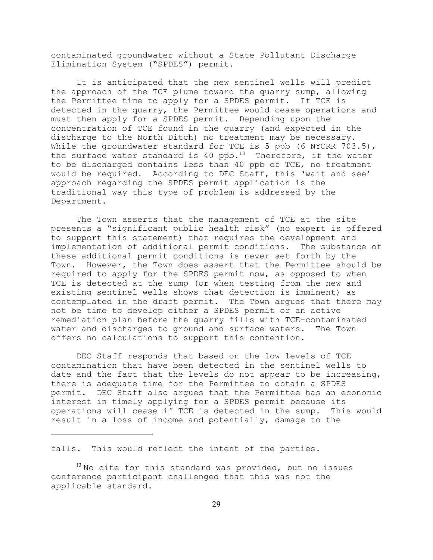contaminated groundwater without a State Pollutant Discharge Elimination System ("SPDES") permit.

It is anticipated that the new sentinel wells will predict the approach of the TCE plume toward the quarry sump, allowing the Permittee time to apply for a SPDES permit. If TCE is detected in the quarry, the Permittee would cease operations and must then apply for a SPDES permit. Depending upon the concentration of TCE found in the quarry (and expected in the discharge to the North Ditch) no treatment may be necessary. While the groundwater standard for TCE is 5 ppb (6 NYCRR 703.5), the surface water standard is 40 ppb. $13$  Therefore, if the water to be discharged contains less than 40 ppb of TCE, no treatment would be required. According to DEC Staff, this 'wait and see' approach regarding the SPDES permit application is the traditional way this type of problem is addressed by the Department.

The Town asserts that the management of TCE at the site presents a "significant public health risk" (no expert is offered to support this statement) that requires the development and implementation of additional permit conditions. The substance of these additional permit conditions is never set forth by the Town. However, the Town does assert that the Permittee should be required to apply for the SPDES permit now, as opposed to when TCE is detected at the sump (or when testing from the new and existing sentinel wells shows that detection is imminent) as contemplated in the draft permit. The Town argues that there may not be time to develop either a SPDES permit or an active remediation plan before the quarry fills with TCE-contaminated water and discharges to ground and surface waters. The Town offers no calculations to support this contention.

DEC Staff responds that based on the low levels of TCE contamination that have been detected in the sentinel wells to date and the fact that the levels do not appear to be increasing, there is adequate time for the Permittee to obtain a SPDES permit. DEC Staff also argues that the Permittee has an economic interest in timely applying for a SPDES permit because its operations will cease if TCE is detected in the sump. This would result in a loss of income and potentially, damage to the

falls. This would reflect the intent of the parties.

 $13$  No cite for this standard was provided, but no issues conference participant challenged that this was not the applicable standard.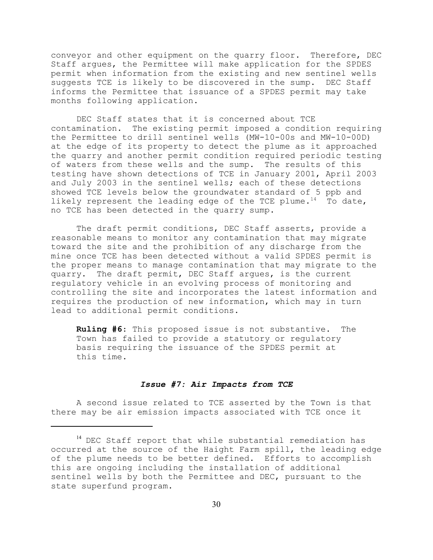conveyor and other equipment on the quarry floor. Therefore, DEC Staff argues, the Permittee will make application for the SPDES permit when information from the existing and new sentinel wells suggests TCE is likely to be discovered in the sump. DEC Staff informs the Permittee that issuance of a SPDES permit may take months following application.

DEC Staff states that it is concerned about TCE contamination. The existing permit imposed a condition requiring the Permittee to drill sentinel wells (MW-10-00s and MW-10-00D) at the edge of its property to detect the plume as it approached the quarry and another permit condition required periodic testing of waters from these wells and the sump. The results of this testing have shown detections of TCE in January 2001, April 2003 and July 2003 in the sentinel wells; each of these detections showed TCE levels below the groundwater standard of 5 ppb and likely represent the leading edge of the TCE plume.<sup>14</sup> To date, no TCE has been detected in the quarry sump.

The draft permit conditions, DEC Staff asserts, provide a reasonable means to monitor any contamination that may migrate toward the site and the prohibition of any discharge from the mine once TCE has been detected without a valid SPDES permit is the proper means to manage contamination that may migrate to the quarry. The draft permit, DEC Staff argues, is the current regulatory vehicle in an evolving process of monitoring and controlling the site and incorporates the latest information and requires the production of new information, which may in turn lead to additional permit conditions.

**Ruling #6**: This proposed issue is not substantive. The Town has failed to provide a statutory or regulatory basis requiring the issuance of the SPDES permit at this time.

## *Issue #7: Air Impacts from TCE*

A second issue related to TCE asserted by the Town is that there may be air emission impacts associated with TCE once it

<sup>&</sup>lt;sup>14</sup> DEC Staff report that while substantial remediation has occurred at the source of the Haight Farm spill, the leading edge of the plume needs to be better defined. Efforts to accomplish this are ongoing including the installation of additional sentinel wells by both the Permittee and DEC, pursuant to the state superfund program.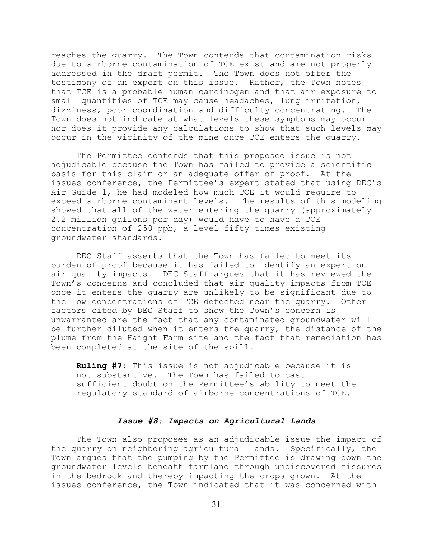reaches the quarry. The Town contends that contamination risks due to airborne contamination of TCE exist and are not properly addressed in the draft permit. The Town does not offer the testimony of an expert on this issue. Rather, the Town notes that TCE is a probable human carcinogen and that air exposure to small quantities of TCE may cause headaches, lung irritation, dizziness, poor coordination and difficulty concentrating. The Town does not indicate at what levels these symptoms may occur nor does it provide any calculations to show that such levels may occur in the vicinity of the mine once TCE enters the quarry.

The Permittee contends that this proposed issue is not adjudicable because the Town has failed to provide a scientific basis for this claim or an adequate offer of proof. At the issues conference, the Permittee's expert stated that using DEC's Air Guide 1, he had modeled how much TCE it would require to exceed airborne contaminant levels. The results of this modeling showed that all of the water entering the quarry (approximately 2.2 million gallons per day) would have to have a TCE concentration of 250 ppb, a level fifty times existing groundwater standards.

DEC Staff asserts that the Town has failed to meet its burden of proof because it has failed to identify an expert on air quality impacts. DEC Staff argues that it has reviewed the Town's concerns and concluded that air quality impacts from TCE once it enters the quarry are unlikely to be significant due to the low concentrations of TCE detected near the quarry. Other factors cited by DEC Staff to show the Town's concern is unwarranted are the fact that any contaminated groundwater will be further diluted when it enters the quarry, the distance of the plume from the Haight Farm site and the fact that remediation has been completed at the site of the spill.

**Ruling #7**: This issue is not adjudicable because it is not substantive. The Town has failed to cast sufficient doubt on the Permittee's ability to meet the regulatory standard of airborne concentrations of TCE.

## *Issue #8: Impacts on Agricultural Lands*

The Town also proposes as an adjudicable issue the impact of the quarry on neighboring agricultural lands. Specifically, the Town argues that the pumping by the Permittee is drawing down the groundwater levels beneath farmland through undiscovered fissures in the bedrock and thereby impacting the crops grown. At the issues conference, the Town indicated that it was concerned with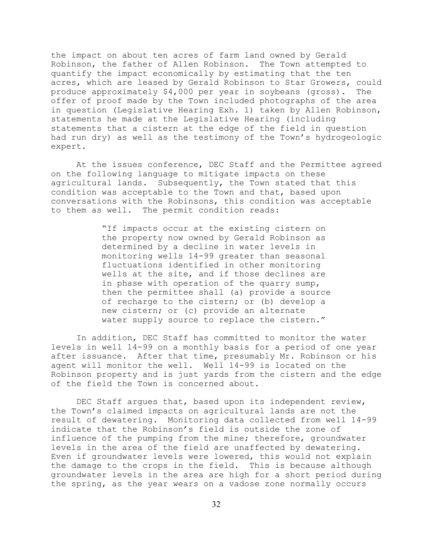the impact on about ten acres of farm land owned by Gerald Robinson, the father of Allen Robinson. The Town attempted to quantify the impact economically by estimating that the ten acres, which are leased by Gerald Robinson to Star Growers, could produce approximately \$4,000 per year in soybeans (gross). The offer of proof made by the Town included photographs of the area in question (Legislative Hearing Exh. 1) taken by Allen Robinson, statements he made at the Legislative Hearing (including statements that a cistern at the edge of the field in question had run dry) as well as the testimony of the Town's hydrogeologic expert.

At the issues conference, DEC Staff and the Permittee agreed on the following language to mitigate impacts on these agricultural lands. Subsequently, the Town stated that this condition was acceptable to the Town and that, based upon conversations with the Robinsons, this condition was acceptable to them as well. The permit condition reads:

> "If impacts occur at the existing cistern on the property now owned by Gerald Robinson as determined by a decline in water levels in monitoring wells 14-99 greater than seasonal fluctuations identified in other monitoring wells at the site, and if those declines are in phase with operation of the quarry sump, then the permittee shall (a) provide a source of recharge to the cistern; or (b) develop a new cistern; or (c) provide an alternate water supply source to replace the cistern."

In addition, DEC Staff has committed to monitor the water levels in well 14-99 on a monthly basis for a period of one year after issuance. After that time, presumably Mr. Robinson or his agent will monitor the well. Well 14-99 is located on the Robinson property and is just yards from the cistern and the edge of the field the Town is concerned about.

DEC Staff argues that, based upon its independent review, the Town's claimed impacts on agricultural lands are not the result of dewatering. Monitoring data collected from well 14-99 indicate that the Robinson's field is outside the zone of influence of the pumping from the mine; therefore, groundwater levels in the area of the field are unaffected by dewatering. Even if groundwater levels were lowered, this would not explain the damage to the crops in the field. This is because although groundwater levels in the area are high for a short period during the spring, as the year wears on a vadose zone normally occurs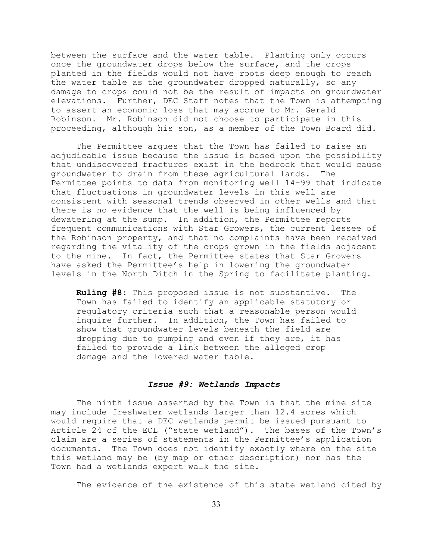between the surface and the water table. Planting only occurs once the groundwater drops below the surface, and the crops planted in the fields would not have roots deep enough to reach the water table as the groundwater dropped naturally, so any damage to crops could not be the result of impacts on groundwater elevations. Further, DEC Staff notes that the Town is attempting to assert an economic loss that may accrue to Mr. Gerald Robinson. Mr. Robinson did not choose to participate in this proceeding, although his son, as a member of the Town Board did.

The Permittee argues that the Town has failed to raise an adjudicable issue because the issue is based upon the possibility that undiscovered fractures exist in the bedrock that would cause groundwater to drain from these agricultural lands. The Permittee points to data from monitoring well 14-99 that indicate that fluctuations in groundwater levels in this well are consistent with seasonal trends observed in other wells and that there is no evidence that the well is being influenced by dewatering at the sump. In addition, the Permittee reports frequent communications with Star Growers, the current lessee of the Robinson property, and that no complaints have been received regarding the vitality of the crops grown in the fields adjacent to the mine. In fact, the Permittee states that Star Growers have asked the Permittee's help in lowering the groundwater levels in the North Ditch in the Spring to facilitate planting.

**Ruling #8**: This proposed issue is not substantive. The Town has failed to identify an applicable statutory or regulatory criteria such that a reasonable person would inquire further. In addition, the Town has failed to show that groundwater levels beneath the field are dropping due to pumping and even if they are, it has failed to provide a link between the alleged crop damage and the lowered water table.

#### *Issue #9: Wetlands Impacts*

The ninth issue asserted by the Town is that the mine site may include freshwater wetlands larger than 12.4 acres which would require that a DEC wetlands permit be issued pursuant to Article 24 of the ECL ("state wetland"). The bases of the Town's claim are a series of statements in the Permittee's application documents. The Town does not identify exactly where on the site this wetland may be (by map or other description) nor has the Town had a wetlands expert walk the site.

The evidence of the existence of this state wetland cited by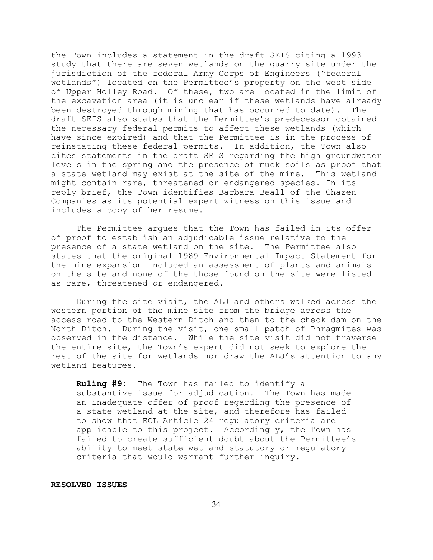the Town includes a statement in the draft SEIS citing a 1993 study that there are seven wetlands on the quarry site under the jurisdiction of the federal Army Corps of Engineers ("federal wetlands") located on the Permittee's property on the west side of Upper Holley Road. Of these, two are located in the limit of the excavation area (it is unclear if these wetlands have already been destroyed through mining that has occurred to date). The draft SEIS also states that the Permittee's predecessor obtained the necessary federal permits to affect these wetlands (which have since expired) and that the Permittee is in the process of reinstating these federal permits. In addition, the Town also cites statements in the draft SEIS regarding the high groundwater levels in the spring and the presence of muck soils as proof that a state wetland may exist at the site of the mine. This wetland might contain rare, threatened or endangered species. In its reply brief, the Town identifies Barbara Beall of the Chazen Companies as its potential expert witness on this issue and includes a copy of her resume.

The Permittee argues that the Town has failed in its offer of proof to establish an adjudicable issue relative to the presence of a state wetland on the site. The Permittee also states that the original 1989 Environmental Impact Statement for the mine expansion included an assessment of plants and animals on the site and none of the those found on the site were listed as rare, threatened or endangered.

During the site visit, the ALJ and others walked across the western portion of the mine site from the bridge across the access road to the Western Ditch and then to the check dam on the North Ditch. During the visit, one small patch of Phragmites was observed in the distance. While the site visit did not traverse the entire site, the Town's expert did not seek to explore the rest of the site for wetlands nor draw the ALJ's attention to any wetland features.

**Ruling #9:** The Town has failed to identify a substantive issue for adjudication. The Town has made an inadequate offer of proof regarding the presence of a state wetland at the site, and therefore has failed to show that ECL Article 24 regulatory criteria are applicable to this project. Accordingly, the Town has failed to create sufficient doubt about the Permittee's ability to meet state wetland statutory or regulatory criteria that would warrant further inquiry.

#### **RESOLVED ISSUES**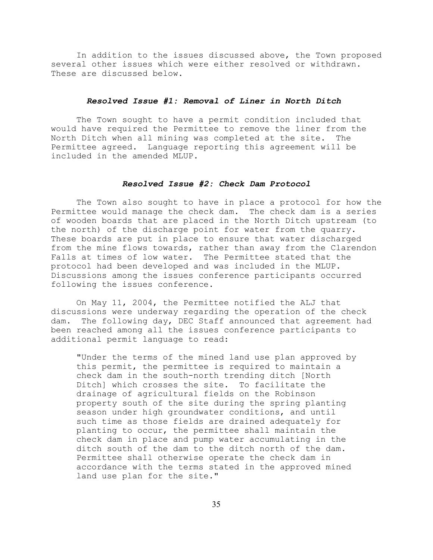In addition to the issues discussed above, the Town proposed several other issues which were either resolved or withdrawn. These are discussed below.

# *Resolved Issue #1: Removal of Liner in North Ditch*

The Town sought to have a permit condition included that would have required the Permittee to remove the liner from the North Ditch when all mining was completed at the site. The Permittee agreed. Language reporting this agreement will be included in the amended MLUP.

# *Resolved Issue #2: Check Dam Protocol*

The Town also sought to have in place a protocol for how the Permittee would manage the check dam. The check dam is a series of wooden boards that are placed in the North Ditch upstream (to the north) of the discharge point for water from the quarry. These boards are put in place to ensure that water discharged from the mine flows towards, rather than away from the Clarendon Falls at times of low water. The Permittee stated that the protocol had been developed and was included in the MLUP. Discussions among the issues conference participants occurred following the issues conference.

On May 11, 2004, the Permittee notified the ALJ that discussions were underway regarding the operation of the check dam. The following day, DEC Staff announced that agreement had been reached among all the issues conference participants to additional permit language to read:

"Under the terms of the mined land use plan approved by this permit, the permittee is required to maintain a check dam in the south-north trending ditch [North Ditch] which crosses the site. To facilitate the drainage of agricultural fields on the Robinson property south of the site during the spring planting season under high groundwater conditions, and until such time as those fields are drained adequately for planting to occur, the permittee shall maintain the check dam in place and pump water accumulating in the ditch south of the dam to the ditch north of the dam. Permittee shall otherwise operate the check dam in accordance with the terms stated in the approved mined land use plan for the site."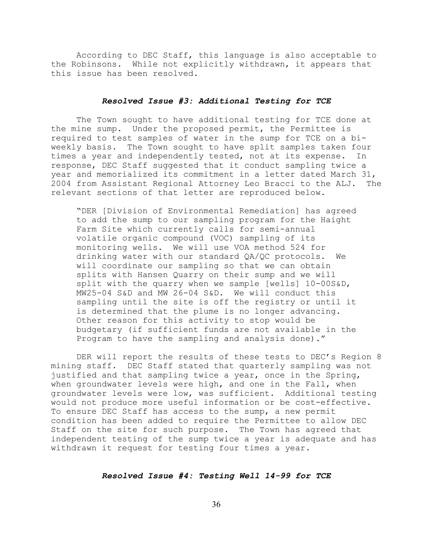According to DEC Staff, this language is also acceptable to the Robinsons. While not explicitly withdrawn, it appears that this issue has been resolved.

# *Resolved Issue #3: Additional Testing for TCE*

The Town sought to have additional testing for TCE done at the mine sump. Under the proposed permit, the Permittee is required to test samples of water in the sump for TCE on a biweekly basis. The Town sought to have split samples taken four times a year and independently tested, not at its expense. In response, DEC Staff suggested that it conduct sampling twice a year and memorialized its commitment in a letter dated March 31, 2004 from Assistant Regional Attorney Leo Bracci to the ALJ. The relevant sections of that letter are reproduced below.

"DER [Division of Environmental Remediation] has agreed to add the sump to our sampling program for the Haight Farm Site which currently calls for semi-annual volatile organic compound (VOC) sampling of its monitoring wells. We will use VOA method 524 for drinking water with our standard QA/QC protocols. We will coordinate our sampling so that we can obtain splits with Hansen Quarry on their sump and we will split with the quarry when we sample [wells] 10-00S&D, MW25-04 S&D and MW 26-04 S&D. We will conduct this sampling until the site is off the registry or until it is determined that the plume is no longer advancing. Other reason for this activity to stop would be budgetary (if sufficient funds are not available in the Program to have the sampling and analysis done)."

DER will report the results of these tests to DEC's Region 8 mining staff. DEC Staff stated that quarterly sampling was not justified and that sampling twice a year, once in the Spring, when groundwater levels were high, and one in the Fall, when groundwater levels were low, was sufficient. Additional testing would not produce more useful information or be cost-effective. To ensure DEC Staff has access to the sump, a new permit condition has been added to require the Permittee to allow DEC Staff on the site for such purpose. The Town has agreed that independent testing of the sump twice a year is adequate and has withdrawn it request for testing four times a year.

#### *Resolved Issue #4: Testing Well 14-99 for TCE*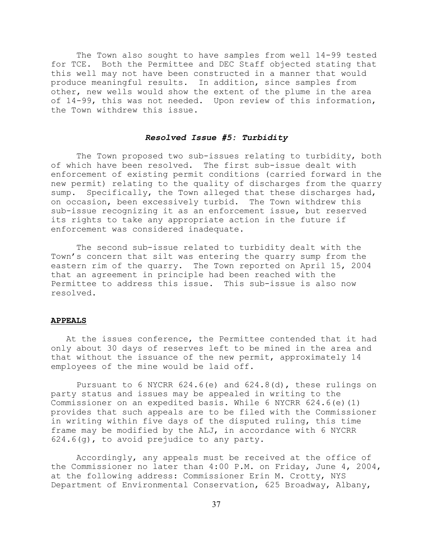The Town also sought to have samples from well 14-99 tested for TCE. Both the Permittee and DEC Staff objected stating that this well may not have been constructed in a manner that would produce meaningful results. In addition, since samples from other, new wells would show the extent of the plume in the area of 14-99, this was not needed. Upon review of this information, the Town withdrew this issue.

## *Resolved Issue #5: Turbidity*

The Town proposed two sub-issues relating to turbidity, both of which have been resolved. The first sub-issue dealt with enforcement of existing permit conditions (carried forward in the new permit) relating to the quality of discharges from the quarry sump. Specifically, the Town alleged that these discharges had, on occasion, been excessively turbid. The Town withdrew this sub-issue recognizing it as an enforcement issue, but reserved its rights to take any appropriate action in the future if enforcement was considered inadequate.

The second sub-issue related to turbidity dealt with the Town's concern that silt was entering the quarry sump from the eastern rim of the quarry. The Town reported on April 15, 2004 that an agreement in principle had been reached with the Permittee to address this issue. This sub-issue is also now resolved.

#### **APPEALS**

 At the issues conference, the Permittee contended that it had only about 30 days of reserves left to be mined in the area and that without the issuance of the new permit, approximately 14 employees of the mine would be laid off.

Pursuant to 6 NYCRR 624.6(e) and 624.8(d), these rulings on party status and issues may be appealed in writing to the Commissioner on an expedited basis. While 6 NYCRR 624.6(e)(1) provides that such appeals are to be filed with the Commissioner in writing within five days of the disputed ruling, this time frame may be modified by the ALJ, in accordance with 6 NYCRR 624.6(g), to avoid prejudice to any party.

Accordingly, any appeals must be received at the office of the Commissioner no later than 4:00 P.M. on Friday, June 4, 2004, at the following address: Commissioner Erin M. Crotty, NYS Department of Environmental Conservation, 625 Broadway, Albany,